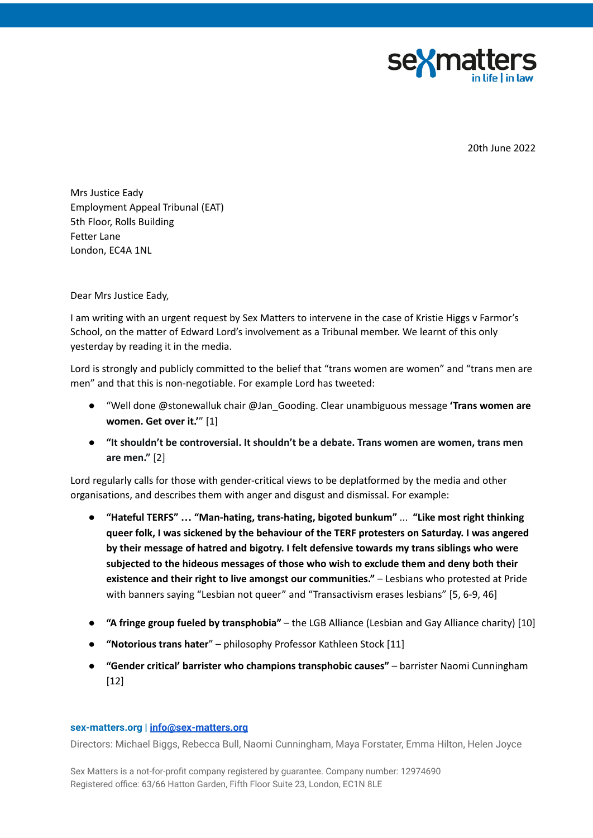

20th June 2022

Mrs Justice Eady Employment Appeal Tribunal (EAT) 5th Floor, Rolls Building Fetter Lane London, EC4A 1NL

Dear Mrs Justice Eady,

I am writing with an urgent request by Sex Matters to intervene in the case of Kristie Higgs v Farmor's School, on the matter of Edward Lord's involvement as a Tribunal member. We learnt of this only yesterday by reading it in the media.

Lord is strongly and publicly committed to the belief that "trans women are women" and "trans men are men" and that this is non-negotiable. For example Lord has tweeted:

- "Well done @stonewalluk chair @Jan\_Gooding. Clear unambiguous message **'Trans women are women. Get over it.'**" [1]
- **"It shouldn't be controversial. It shouldn't be a debate. Trans women are women, trans men are men."** [2]

Lord regularly calls for those with gender-critical views to be deplatformed by the media and other organisations, and describes them with anger and disgust and dismissal. For example:

- **"Hateful TERFS" … "Man-hating, trans-hating, bigoted bunkum"** ... **"Like most right thinking queer folk, I was sickened by the behaviour of the TERF protesters on Saturday. I was angered by their message of hatred and bigotry. I felt defensive towards my trans siblings who were subjected to the hideous messages of those who wish to exclude them and deny both their existence and their right to live amongst our communities."** – Lesbians who protested at Pride with banners saying "Lesbian not queer" and "Transactivism erases lesbians" [5, 6-9, 46]
- **"A fringe group fueled by transphobia"** the LGB Alliance (Lesbian and Gay Alliance charity) [10]
- **"Notorious trans hater**" philosophy Professor Kathleen Stock [11]
- **"Gender critical' barrister who champions transphobic causes"** barrister Naomi Cunningham [12]

## **[sex-matters.org](https://sex-matters.org/) | [info@sex-matters.org](mailto:info@sex-matters.org)**

Directors: Michael Biggs, Rebecca Bull, Naomi Cunningham, Maya Forstater, Emma Hilton, Helen Joyce

Sex Matters is a not-for-profit company registered by guarantee. Company number: 12974690 Registered office: 63/66 Hatton Garden, Fifth Floor Suite 23, London, EC1N 8LE